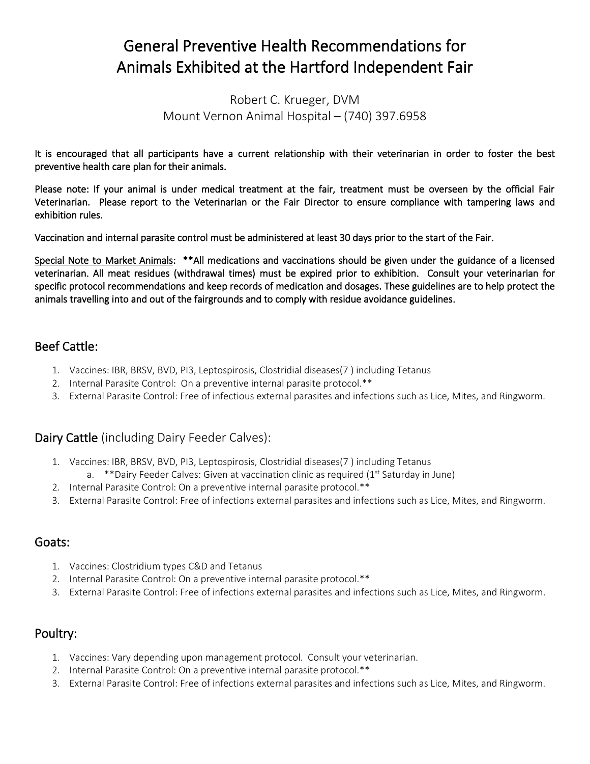# General Preventive Health Recommendations for Animals Exhibited at the Hartford Independent Fair

Robert C. Krueger, DVM Mount Vernon Animal Hospital – (740) 397.6958

It is encouraged that all participants have a current relationship with their veterinarian in order to foster the best preventive health care plan for their animals.

Please note: If your animal is under medical treatment at the fair, treatment must be overseen by the official Fair Veterinarian. Please report to the Veterinarian or the Fair Director to ensure compliance with tampering laws and exhibition rules.

Vaccination and internal parasite control must be administered at least 30 days prior to the start of the Fair.

Special Note to Market Animals: \*\*All medications and vaccinations should be given under the guidance of a licensed veterinarian. All meat residues (withdrawal times) must be expired prior to exhibition. Consult your veterinarian for specific protocol recommendations and keep records of medication and dosages. These guidelines are to help protect the animals travelling into and out of the fairgrounds and to comply with residue avoidance guidelines.

# Beef Cattle:

- 1. Vaccines: IBR, BRSV, BVD, PI3, Leptospirosis, Clostridial diseases(7 ) including Tetanus
- 2. Internal Parasite Control: On a preventive internal parasite protocol.\*\*
- 3. External Parasite Control: Free of infectious external parasites and infections such as Lice, Mites, and Ringworm.

#### Dairy Cattle (including Dairy Feeder Calves):

- 1. Vaccines: IBR, BRSV, BVD, PI3, Leptospirosis, Clostridial diseases(7 ) including Tetanus a. \*\* Dairy Feeder Calves: Given at vaccination clinic as required ( $1<sup>st</sup>$  Saturday in June)
- 2. Internal Parasite Control: On a preventive internal parasite protocol.\*\*
- 3. External Parasite Control: Free of infections external parasites and infections such as Lice, Mites, and Ringworm.

#### Goats:

- 1. Vaccines: Clostridium types C&D and Tetanus
- 2. Internal Parasite Control: On a preventive internal parasite protocol.\*\*
- 3. External Parasite Control: Free of infections external parasites and infections such as Lice, Mites, and Ringworm.

#### Poultry:

- 1. Vaccines: Vary depending upon management protocol. Consult your veterinarian.
- 2. Internal Parasite Control: On a preventive internal parasite protocol.\*\*
- 3. External Parasite Control: Free of infections external parasites and infections such as Lice, Mites, and Ringworm.